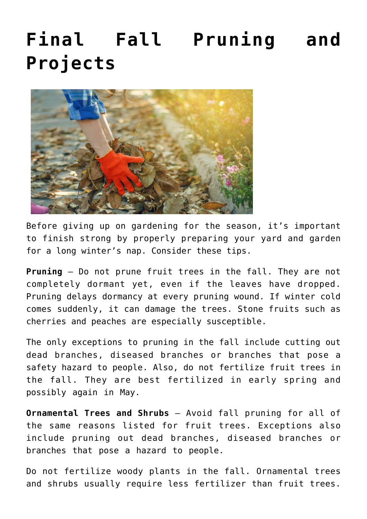## **[Final Fall Pruning and](https://livewellutah.org/2020/11/06/final-fall-pruning-and-projects/) [Projects](https://livewellutah.org/2020/11/06/final-fall-pruning-and-projects/)**



Before giving up on gardening for the season, it's important to finish strong by properly preparing your yard and garden for a long winter's nap. Consider these tips.

**Pruning** – Do not prune fruit trees in the fall. They are not completely dormant yet, even if the leaves have dropped. Pruning delays dormancy at every pruning wound. If winter cold comes suddenly, it can damage the trees. Stone fruits such as cherries and peaches are especially susceptible.

The only exceptions to pruning in the fall include cutting out dead branches, diseased branches or branches that pose a safety hazard to people. Also, do not fertilize fruit trees in the fall. They are best fertilized in early spring and possibly again in May.

**Ornamental Trees and Shrubs** – Avoid fall pruning for all of the same reasons listed for fruit trees. Exceptions also include pruning out dead branches, diseased branches or branches that pose a hazard to people.

Do not fertilize woody plants in the fall. Ornamental trees and shrubs usually require less fertilizer than fruit trees.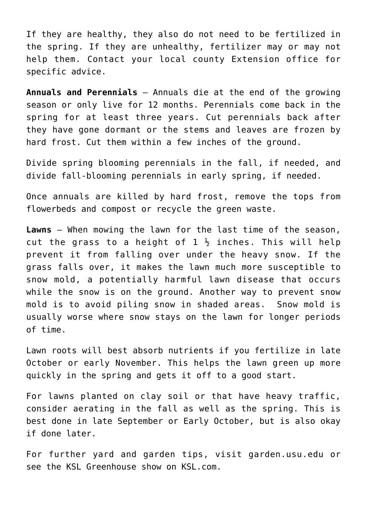If they are healthy, they also do not need to be fertilized in the spring. If they are unhealthy, fertilizer may or may not help them. Contact your local county Extension office for specific advice.

**Annuals and Perennials** – Annuals die at the end of the growing season or only live for 12 months. Perennials come back in the spring for at least three years. Cut perennials back after they have gone dormant or the stems and leaves are frozen by hard frost. Cut them within a few inches of the ground.

Divide spring blooming perennials in the fall, if needed, and divide fall-blooming perennials in early spring, if needed.

Once annuals are killed by hard frost, remove the tops from flowerbeds and compost or recycle the green waste.

**Lawns** – When mowing the lawn for the last time of the season, cut the grass to a height of  $1\frac{1}{2}$  inches. This will help prevent it from falling over under the heavy snow. If the grass falls over, it makes the lawn much more susceptible to snow mold, a potentially harmful lawn disease that occurs while the snow is on the ground. Another way to prevent snow mold is to avoid piling snow in shaded areas. Snow mold is usually worse where snow stays on the lawn for longer periods of time.

Lawn roots will best absorb nutrients if you fertilize in late October or early November. This helps the lawn green up more quickly in the spring and gets it off to a good start.

For lawns planted on clay soil or that have heavy traffic, consider aerating in the fall as well as the spring. This is best done in late September or Early October, but is also okay if done later.

For further yard and garden tips, visit garden.usu.edu or see the KSL Greenhouse show on KSL.com.